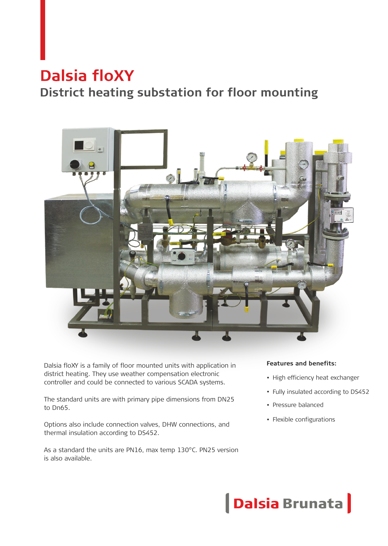# **Dalsia floXY**

# **District heating substation for floor mounting**



Dalsia floXY is a family of floor mounted units with application in district heating. They use weather compensation electronic controller and could be connected to various SCADA systems.

The standard units are with primary pipe dimensions from DN25 to Dn65.

Options also include connection valves, DHW connections, and thermal insulation according to DS452.

As a standard the units are PN16, max temp 130°C. PN25 version is also available.

#### **Features and benefits:**

- High efficiency heat exchanger
- Fully insulated according to DS452
- Pressure balanced
- Flexible configurations

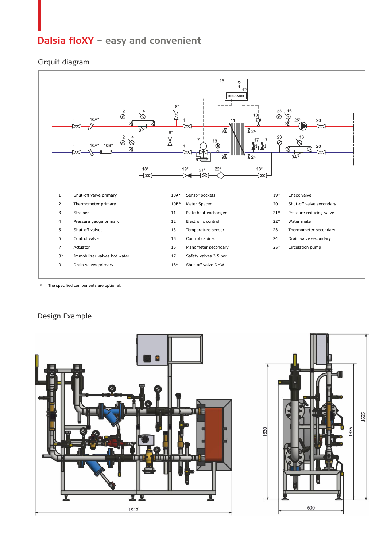## **Dalsia floXY** - easy and convenient

#### Cirquit diagram



\* The specified components are optional.

#### Design Example

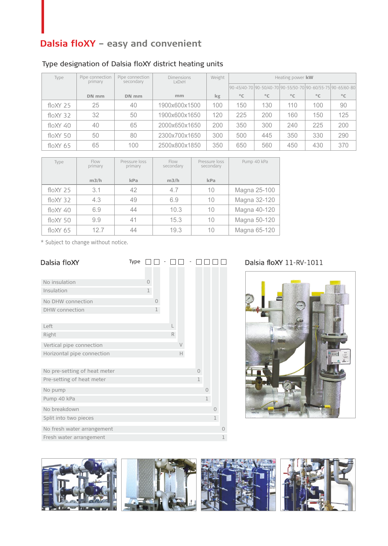# **Dalsia floXY** - easy and convenient

### Type designation of Dalsia floXY district heating units

| Type           | Pipe connection<br>primary | Pipe connection<br>secondary | <b>Dimensions</b><br>LxDxH | Weight |              |              | Heating power kw |              |                                                                    |
|----------------|----------------------------|------------------------------|----------------------------|--------|--------------|--------------|------------------|--------------|--------------------------------------------------------------------|
|                |                            |                              |                            |        |              |              |                  |              | 90-45/40-70  90-50/40-70   90-55/50-70   90-60/55-75   90-65/60-80 |
|                | DN mm                      | DN mm                        | mm                         | kg     | $^{\circ}$ C | $^{\circ}$ C | $^{\circ}$ C     | $^{\circ}$ C | $^{\circ}$ C                                                       |
| $f$ lo $XY$ 25 | 25                         | 40                           | 1900x600x1500              | 100    | 150          | 130          | 110              | 100          | 90                                                                 |
| $f$ loXY 32    | 32                         | 50                           | 1900x600x1650              | 120    | 225          | 200          | 160              | 150          | 125                                                                |
| $f$ loXY 40    | 40                         | 65                           | 2000x650x1650              | 200    | 350          | 300          | 240              | 225          | 200                                                                |
| $f$ lo $XY$ 50 | 50                         | 80                           | 2300x700x1650              | 300    | 500          | 445          | 350              | 330          | 290                                                                |
| $f$ loXY 65    | 65                         | 100                          | 2500x800x1850              | 350    | 650          | 560          | 450              | 430          | 370                                                                |

| Type           | Flow<br>primary | Pressure loss<br>primary | Flow<br>secondary | Pressure loss<br>secondary | Pump 40 kPa  |
|----------------|-----------------|--------------------------|-------------------|----------------------------|--------------|
|                | m3/h            | kPa                      | m3/h              | kPa                        |              |
| $f$ lo $XY$ 25 | 3.1             | 42                       | 4.7               | 10                         | Magna 25-100 |
| $f$ lo $XY$ 32 | 4.3             | 49                       | 6.9               | 10                         | Magna 32-120 |
| $f$ loXY 40    | 6.9             | 44                       | 10.3              | 10                         | Magna 40-120 |
| $f$ lo $XY$ 50 | 9.9             | 41                       | 15.3              | 10                         | Magna 50-120 |
| $f$ lo $XY$ 65 | 127             | 44                       | 19.3              | 10                         | Magna 65-120 |

\* Subject to change without notice.

| Dalsia floXY                 | Type |                |   |   |        |    |              |          |          |
|------------------------------|------|----------------|---|---|--------|----|--------------|----------|----------|
|                              |      |                |   |   |        |    |              |          |          |
| No insulation                |      | $\overline{0}$ |   |   |        |    |              |          |          |
| Insulation                   |      | $\mathbf 1$    |   |   |        |    |              |          |          |
| No DHW connection            |      |                | 0 |   |        |    |              |          |          |
| <b>DHW</b> connection        |      |                | 1 |   |        |    |              |          |          |
|                              |      |                |   |   |        |    |              |          |          |
| Left                         |      |                |   |   |        |    |              |          |          |
| Right                        |      |                |   | R |        |    |              |          |          |
| Vertical pipe connection     |      |                |   |   | $\vee$ |    |              |          |          |
| Horizontal pipe connection   |      |                |   |   | Н      |    |              |          |          |
|                              |      |                |   |   |        |    |              |          |          |
| No pre-setting of heat meter |      |                |   |   |        | 0  |              |          |          |
| Pre-setting of heat meter    |      |                |   |   |        | I. |              |          |          |
| No pump                      |      |                |   |   |        |    | $\Omega$     |          |          |
| Pump 40 kPa                  |      |                |   |   |        |    | $\mathbf{1}$ |          |          |
| No breakdown                 |      |                |   |   |        |    |              | $\Omega$ |          |
| Split into two pieces        |      |                |   |   |        |    |              | 1        |          |
| No fresh water arrangement   |      |                |   |   |        |    |              |          | $\Omega$ |
| Fresh water arrangement      |      |                |   |   |        |    |              |          | 1        |

#### Dalsia floXY 11-RV-1011